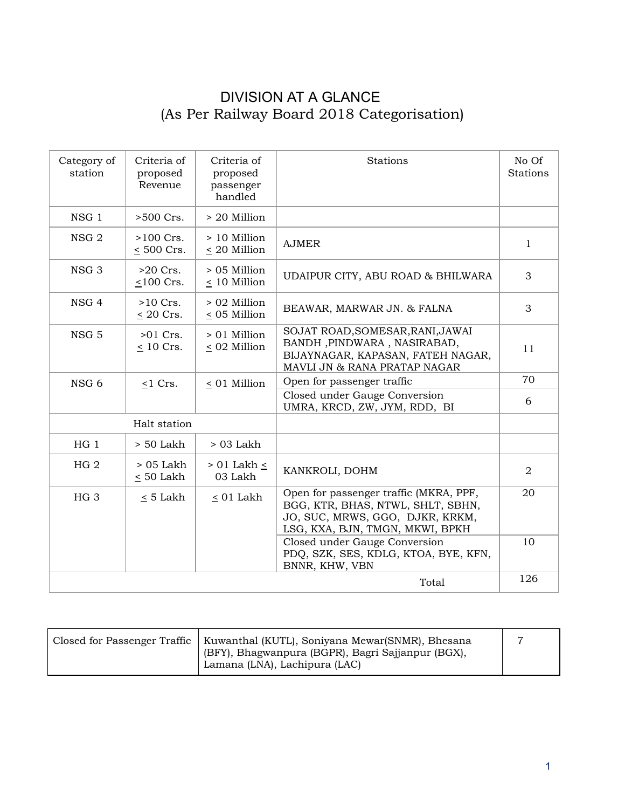## DIVISION AT A GLANCE (As Per Railway Board 2018 Categorisation)

| Category of<br>station | Criteria of<br>proposed<br>Revenue | Criteria of<br>proposed<br>passenger<br>handled | Stations                                                                                                                                          | No Of<br>Stations |
|------------------------|------------------------------------|-------------------------------------------------|---------------------------------------------------------------------------------------------------------------------------------------------------|-------------------|
| NSG <sub>1</sub>       | $>500$ Crs.                        | > 20 Million                                    |                                                                                                                                                   |                   |
| NSG <sub>2</sub>       | $>100$ Crs.<br>$< 500$ Crs.        | > 10 Million<br>< 20 Million                    | <b>AJMER</b>                                                                                                                                      | $\mathbf{1}$      |
| NSG <sub>3</sub>       | $>20$ Crs.<br>$\leq 100$ Crs.      | $> 05$ Million<br>< 10 Million                  | UDAIPUR CITY, ABU ROAD & BHILWARA                                                                                                                 | 3                 |
| NSG 4                  | $>10$ Crs.<br>$\leq$ 20 Crs.       | > 02 Million<br>$\leq$ 05 Million               | BEAWAR, MARWAR JN. & FALNA                                                                                                                        | 3                 |
| NSG 5                  | $>01$ Crs.<br>$\leq 10$ Crs.       | $> 01$ Million<br>$\leq$ 02 Million             | SOJAT ROAD, SOMESAR, RANI, JAWAI<br>BANDH, PINDWARA, NASIRABAD,<br>BIJAYNAGAR, KAPASAN, FATEH NAGAR,<br>MAVLI JN & RANA PRATAP NAGAR              | 11                |
| NSG <sub>6</sub>       | $<$ 1 Crs.                         | < 01 Million                                    | Open for passenger traffic                                                                                                                        | 70                |
|                        |                                    |                                                 | Closed under Gauge Conversion<br>UMRA, KRCD, ZW, JYM, RDD, BI                                                                                     | 6                 |
| Halt station           |                                    |                                                 |                                                                                                                                                   |                   |
| $HG_1$                 | $> 50$ Lakh                        | $>03$ Lakh                                      |                                                                                                                                                   |                   |
| HG <sub>2</sub>        | > 05 Lakh<br>$< 50$ Lakh           | $> 01$ Lakh $\leq$<br>03 Lakh                   | KANKROLI, DOHM                                                                                                                                    | $\overline{2}$    |
| HG <sub>3</sub>        | $\leq 5$ Lakh                      | $\leq 01$ Lakh                                  | Open for passenger traffic (MKRA, PPF,<br>BGG, KTR, BHAS, NTWL, SHLT, SBHN,<br>JO, SUC, MRWS, GGO, DJKR, KRKM,<br>LSG, KXA, BJN, TMGN, MKWI, BPKH | 20                |
|                        |                                    |                                                 | Closed under Gauge Conversion<br>PDQ, SZK, SES, KDLG, KTOA, BYE, KFN,<br>BNNR, KHW, VBN                                                           | 10                |
|                        |                                    |                                                 | Total                                                                                                                                             | 126               |

| Closed for Passenger Traffic | Kuwanthal (KUTL), Soniyana Mewar(SNMR), Bhesana<br>(BFY), Bhagwanpura (BGPR), Bagri Sajjanpur (BGX),<br><sup>'</sup> Lamana (LNA), Lachipura (LAC) |  |
|------------------------------|----------------------------------------------------------------------------------------------------------------------------------------------------|--|
|                              |                                                                                                                                                    |  |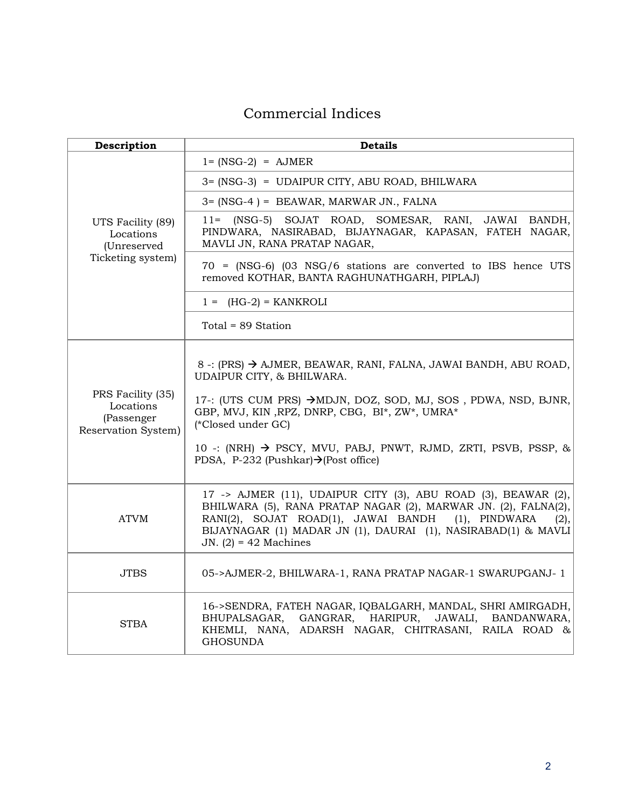## Commercial Indices

| Description                                                         | <b>Details</b>                                                                                                                                                                                                                                                                                                                                                           |
|---------------------------------------------------------------------|--------------------------------------------------------------------------------------------------------------------------------------------------------------------------------------------------------------------------------------------------------------------------------------------------------------------------------------------------------------------------|
|                                                                     | $1 = (NSG-2) = AMER$                                                                                                                                                                                                                                                                                                                                                     |
|                                                                     | 3= (NSG-3) = UDAIPUR CITY, ABU ROAD, BHILWARA                                                                                                                                                                                                                                                                                                                            |
|                                                                     | 3= (NSG-4) = BEAWAR, MARWAR JN., FALNA                                                                                                                                                                                                                                                                                                                                   |
| UTS Facility (89)<br>Locations<br>(Unreserved                       | (NSG-5) SOJAT ROAD, SOMESAR, RANI, JAWAI BANDH,<br>$11 =$<br>PINDWARA, NASIRABAD, BIJAYNAGAR, KAPASAN, FATEH NAGAR,<br>MAVLI JN, RANA PRATAP NAGAR,                                                                                                                                                                                                                      |
| Ticketing system)                                                   | $70 = (NSG-6)$ (03 NSG/6 stations are converted to IBS hence UTS<br>removed KOTHAR, BANTA RAGHUNATHGARH, PIPLAJ)                                                                                                                                                                                                                                                         |
|                                                                     | $1 = (HG-2) = KANKROLI$                                                                                                                                                                                                                                                                                                                                                  |
|                                                                     | Total = 89 Station                                                                                                                                                                                                                                                                                                                                                       |
| PRS Facility (35)<br>Locations<br>(Passenger<br>Reservation System) | 8 -: (PRS) → AJMER, BEAWAR, RANI, FALNA, JAWAI BANDH, ABU ROAD,<br>UDAIPUR CITY, & BHILWARA.<br>17-: (UTS CUM PRS) →MDJN, DOZ, SOD, MJ, SOS, PDWA, NSD, BJNR,<br>GBP, MVJ, KIN, RPZ, DNRP, CBG, BI*, ZW*, UMRA*<br>(*Closed under GC)<br>10 -: (NRH) $\rightarrow$ PSCY, MVU, PABJ, PNWT, RJMD, ZRTI, PSVB, PSSP, &<br>PDSA, P-232 (Pushkar) $\rightarrow$ (Post office) |
| <b>ATVM</b>                                                         | 17 -> AJMER (11), UDAIPUR CITY (3), ABU ROAD (3), BEAWAR (2),<br>BHILWARA (5), RANA PRATAP NAGAR (2), MARWAR JN. (2), FALNA(2),<br>RANI(2), SOJAT ROAD(1), JAWAI BANDH (1), PINDWARA<br>(2),<br>BIJAYNAGAR (1) MADAR JN (1), DAURAI (1), NASIRABAD(1) & MAVLI<br>JN. $(2) = 42$ Machines                                                                                 |
| <b>JTBS</b>                                                         | 05->AJMER-2, BHILWARA-1, RANA PRATAP NAGAR-1 SWARUPGANJ-1                                                                                                                                                                                                                                                                                                                |
| STBA                                                                | 16->SENDRA, FATEH NAGAR, IQBALGARH, MANDAL, SHRI AMIRGADH,<br>BHUPALSAGAR, GANGRAR, HARIPUR,<br>JAWALI,<br>BANDANWARA.<br>KHEMLI, NANA, ADARSH NAGAR, CHITRASANI, RAILA ROAD &<br><b>GHOSUNDA</b>                                                                                                                                                                        |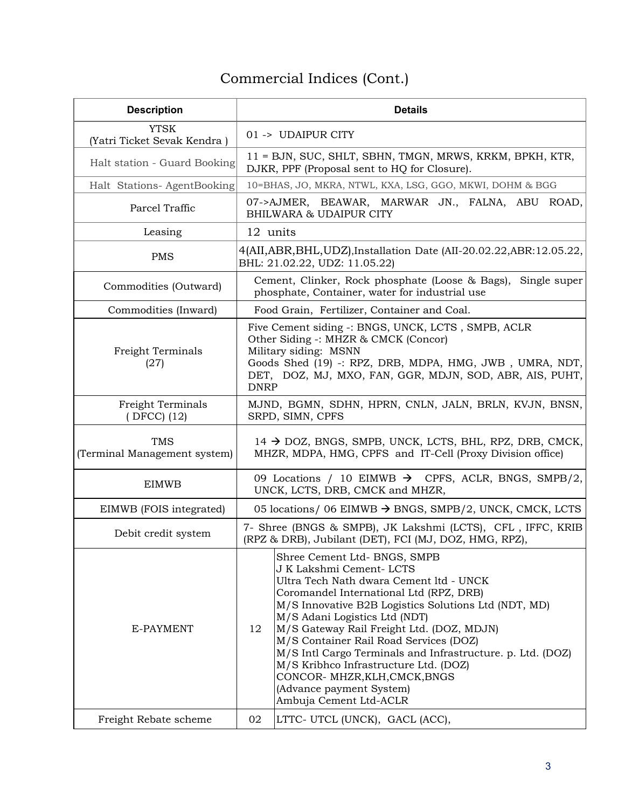## Commercial Indices (Cont.)

| <b>Description</b>                         | <b>Details</b>                                                                                                                                                                                                                                                                                                                                                                                                                                                                                                                     |  |
|--------------------------------------------|------------------------------------------------------------------------------------------------------------------------------------------------------------------------------------------------------------------------------------------------------------------------------------------------------------------------------------------------------------------------------------------------------------------------------------------------------------------------------------------------------------------------------------|--|
| <b>YTSK</b><br>(Yatri Ticket Sevak Kendra) | 01 -> UDAIPUR CITY                                                                                                                                                                                                                                                                                                                                                                                                                                                                                                                 |  |
| Halt station - Guard Booking               | 11 = BJN, SUC, SHLT, SBHN, TMGN, MRWS, KRKM, BPKH, KTR,<br>DJKR, PPF (Proposal sent to HQ for Closure).                                                                                                                                                                                                                                                                                                                                                                                                                            |  |
| Halt Stations-AgentBooking                 | 10=BHAS, JO, MKRA, NTWL, KXA, LSG, GGO, MKWI, DOHM & BGG                                                                                                                                                                                                                                                                                                                                                                                                                                                                           |  |
| Parcel Traffic                             | 07->AJMER, BEAWAR, MARWAR JN., FALNA, ABU ROAD,<br><b>BHILWARA &amp; UDAIPUR CITY</b>                                                                                                                                                                                                                                                                                                                                                                                                                                              |  |
| Leasing                                    | 12 units                                                                                                                                                                                                                                                                                                                                                                                                                                                                                                                           |  |
| PMS                                        | 4(AII, ABR, BHL, UDZ), Installation Date (AII-20.02.22, ABR: 12.05.22,<br>BHL: 21.02.22, UDZ: 11.05.22)                                                                                                                                                                                                                                                                                                                                                                                                                            |  |
| Commodities (Outward)                      | Cement, Clinker, Rock phosphate (Loose & Bags), Single super<br>phosphate, Container, water for industrial use                                                                                                                                                                                                                                                                                                                                                                                                                     |  |
| Commodities (Inward)                       | Food Grain, Fertilizer, Container and Coal.                                                                                                                                                                                                                                                                                                                                                                                                                                                                                        |  |
| Freight Terminals<br>(27)                  | Five Cement siding -: BNGS, UNCK, LCTS, SMPB, ACLR<br>Other Siding -: MHZR & CMCK (Concor)<br>Military siding: MSNN<br>Goods Shed (19) -: RPZ, DRB, MDPA, HMG, JWB, UMRA, NDT,<br>DET, DOZ, MJ, MXO, FAN, GGR, MDJN, SOD, ABR, AIS, PUHT,<br><b>DNRP</b>                                                                                                                                                                                                                                                                           |  |
| <b>Freight Terminals</b><br>(DFCC) (12)    | MJND, BGMN, SDHN, HPRN, CNLN, JALN, BRLN, KVJN, BNSN,<br>SRPD, SIMN, CPFS                                                                                                                                                                                                                                                                                                                                                                                                                                                          |  |
| <b>TMS</b><br>(Terminal Management system) | $14 \rightarrow$ DOZ, BNGS, SMPB, UNCK, LCTS, BHL, RPZ, DRB, CMCK,<br>MHZR, MDPA, HMG, CPFS and IT-Cell (Proxy Division office)                                                                                                                                                                                                                                                                                                                                                                                                    |  |
| <b>EIMWB</b>                               | 09 Locations / 10 EIMWB $\rightarrow$ CPFS, ACLR, BNGS, SMPB/2,<br>UNCK, LCTS, DRB, CMCK and MHZR,                                                                                                                                                                                                                                                                                                                                                                                                                                 |  |
| EIMWB (FOIS integrated)                    | 05 locations/ 06 EIMWB $\rightarrow$ BNGS, SMPB/2, UNCK, CMCK, LCTS                                                                                                                                                                                                                                                                                                                                                                                                                                                                |  |
| Debit credit system                        | 7- Shree (BNGS & SMPB), JK Lakshmi (LCTS), CFL, IFFC, KRIB<br>(RPZ & DRB), Jubilant (DET), FCI (MJ, DOZ, HMG, RPZ),                                                                                                                                                                                                                                                                                                                                                                                                                |  |
| E-PAYMENT                                  | Shree Cement Ltd- BNGS, SMPB<br>J K Lakshmi Cement- LCTS<br>Ultra Tech Nath dwara Cement ltd - UNCK<br>Coromandel International Ltd (RPZ, DRB)<br>M/S Innovative B2B Logistics Solutions Ltd (NDT, MD)<br>M/S Adani Logistics Ltd (NDT)<br>12<br>M/S Gateway Rail Freight Ltd. (DOZ, MDJN)<br>M/S Container Rail Road Services (DOZ)<br>M/S Intl Cargo Terminals and Infrastructure. p. Ltd. (DOZ)<br>M/S Kribhco Infrastructure Ltd. (DOZ)<br>CONCOR- MHZR, KLH, CMCK, BNGS<br>(Advance payment System)<br>Ambuja Cement Ltd-ACLR |  |
| Freight Rebate scheme                      | LTTC- UTCL (UNCK), GACL (ACC),<br>02                                                                                                                                                                                                                                                                                                                                                                                                                                                                                               |  |